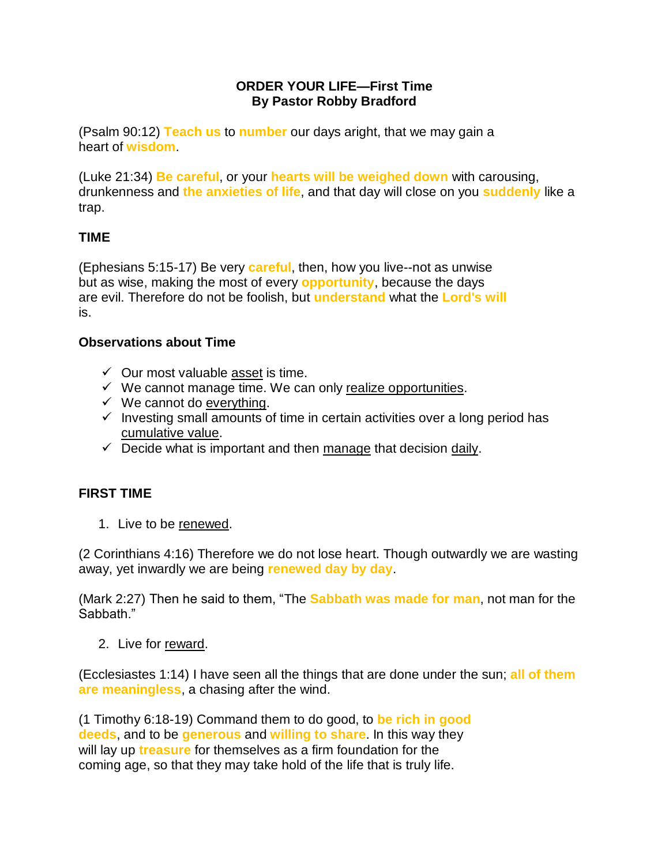### **ORDER YOUR LIFE—First Time By Pastor Robby Bradford**

(Psalm 90:12) **Teach us** to **number** our days aright, that we may gain a heart of **wisdom**.

(Luke 21:34) **Be careful**, or your **hearts will be weighed down** with carousing, drunkenness and **the anxieties of life**, and that day will close on you **suddenly** like a trap.

# **TIME**

(Ephesians 5:15-17) Be very **careful**, then, how you live--not as unwise but as wise, making the most of every **opportunity**, because the days are evil. Therefore do not be foolish, but **understand** what the **Lord's will** is.

# **Observations about Time**

- $\checkmark$  Our most valuable asset is time.
- $\checkmark$  We cannot manage time. We can only realize opportunities.
- $\checkmark$  We cannot do everything.
- $\checkmark$  Investing small amounts of time in certain activities over a long period has cumulative value.
- $\checkmark$  Decide what is important and then manage that decision daily.

# **FIRST TIME**

1. Live to be renewed.

(2 Corinthians 4:16) Therefore we do not lose heart. Though outwardly we are wasting away, yet inwardly we are being **renewed day by day**.

(Mark 2:27) Then he said to them, "The **Sabbath was made for man**, not man for the Sabbath."

2. Live for reward.

(Ecclesiastes 1:14) I have seen all the things that are done under the sun; **all of them are meaningless**, a chasing after the wind.

(1 Timothy 6:18-19) Command them to do good, to **be rich in good deeds**, and to be **generous** and **willing to share**. In this way they will lay up **treasure** for themselves as a firm foundation for the coming age, so that they may take hold of the life that is truly life.